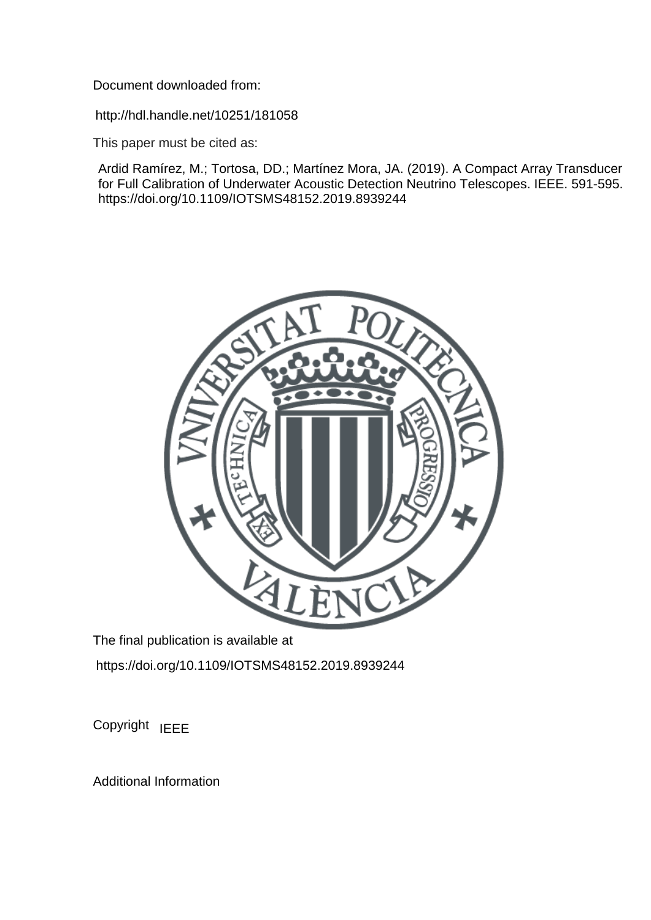Document downloaded from:

http://hdl.handle.net/10251/181058

This paper must be cited as:

Ardid Ramírez, M.; Tortosa, DD.; Martínez Mora, JA. (2019). A Compact Array Transducer for Full Calibration of Underwater Acoustic Detection Neutrino Telescopes. IEEE. 591-595. https://doi.org/10.1109/IOTSMS48152.2019.8939244



The final publication is available at https://doi.org/10.1109/IOTSMS48152.2019.8939244

Copyright IEEE

Additional Information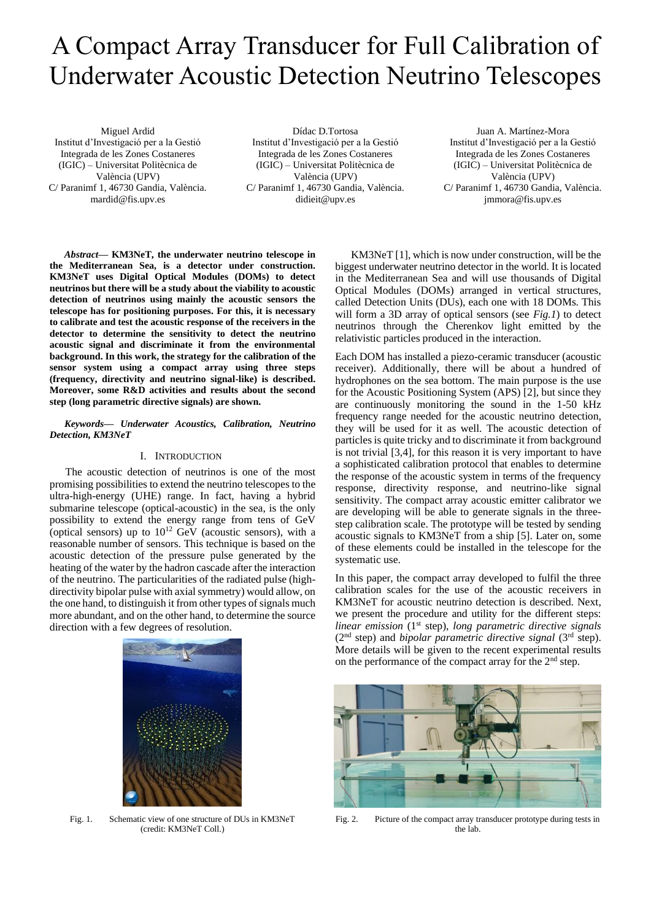# A Compact Array Transducer for Full Calibration of Underwater Acoustic Detection Neutrino Telescopes

Miguel Ardid Institut d'Investigació per a la Gestió Integrada de les Zones Costaneres (IGIC) – Universitat Politècnica de València (UPV) C/ Paranimf 1, 46730 Gandia, València. mardid@fis.upv.es

Dídac D.Tortosa Institut d'Investigació per a la Gestió Integrada de les Zones Costaneres (IGIC) – Universitat Politècnica de València (UPV) C/ Paranimf 1, 46730 Gandia, València. didieit@upv.es

Juan A. Martínez-Mora Institut d'Investigació per a la Gestió Integrada de les Zones Costaneres (IGIC) – Universitat Politècnica de València (UPV) C/ Paranimf 1, 46730 Gandia, València. jmmora@fis.upv.es

*Abstract***— KM3NeT, the underwater neutrino telescope in the Mediterranean Sea, is a detector under construction. KM3NeT uses Digital Optical Modules (DOMs) to detect neutrinos but there will be a study about the viability to acoustic detection of neutrinos using mainly the acoustic sensors the telescope has for positioning purposes. For this, it is necessary to calibrate and test the acoustic response of the receivers in the detector to determine the sensitivity to detect the neutrino acoustic signal and discriminate it from the environmental background. In this work, the strategy for the calibration of the sensor system using a compact array using three steps (frequency, directivity and neutrino signal-like) is described. Moreover, some R&D activities and results about the second step (long parametric directive signals) are shown.**

*Keywords— Underwater Acoustics, Calibration, Neutrino Detection, KM3NeT*

## I. INTRODUCTION

The acoustic detection of neutrinos is one of the most promising possibilities to extend the neutrino telescopes to the ultra-high-energy (UHE) range. In fact, having a hybrid submarine telescope (optical-acoustic) in the sea, is the only possibility to extend the energy range from tens of GeV (optical sensors) up to  $10^{12}$  GeV (acoustic sensors), with a reasonable number of sensors. This technique is based on the acoustic detection of the pressure pulse generated by the heating of the water by the hadron cascade after the interaction of the neutrino. The particularities of the radiated pulse (highdirectivity bipolar pulse with axial symmetry) would allow, on the one hand, to distinguish it from other types of signals much more abundant, and on the other hand, to determine the source direction with a few degrees of resolution.

Fig. 1. Schematic view of one structure of DUs in KM3NeT (credit: KM3NeT Coll.)

KM3NeT [1], which is now under construction, will be the biggest underwater neutrino detector in the world. It is located in the Mediterranean Sea and will use thousands of Digital Optical Modules (DOMs) arranged in vertical structures, called Detection Units (DUs), each one with 18 DOMs. This will form a 3D array of optical sensors (see *Fig.1*) to detect neutrinos through the Cherenkov light emitted by the relativistic particles produced in the interaction.

Each DOM has installed a piezo-ceramic transducer (acoustic receiver). Additionally, there will be about a hundred of hydrophones on the sea bottom. The main purpose is the use for the Acoustic Positioning System (APS) [2], but since they are continuously monitoring the sound in the 1-50 kHz frequency range needed for the acoustic neutrino detection, they will be used for it as well. The acoustic detection of particles is quite tricky and to discriminate it from background is not trivial [3,4], for this reason it is very important to have a sophisticated calibration protocol that enables to determine the response of the acoustic system in terms of the frequency response, directivity response, and neutrino-like signal sensitivity. The compact array acoustic emitter calibrator we are developing will be able to generate signals in the threestep calibration scale. The prototype will be tested by sending acoustic signals to KM3NeT from a ship [5]. Later on, some of these elements could be installed in the telescope for the systematic use.

In this paper, the compact array developed to fulfil the three calibration scales for the use of the acoustic receivers in KM3NeT for acoustic neutrino detection is described. Next, we present the procedure and utility for the different steps: *linear emission* (1st step), *long parametric directive signals*  (2nd step) and *bipolar parametric directive signal* (3rd step). More details will be given to the recent experimental results on the performance of the compact array for the 2nd step.



Fig. 2. Picture of the compact array transducer prototype during tests in the lab.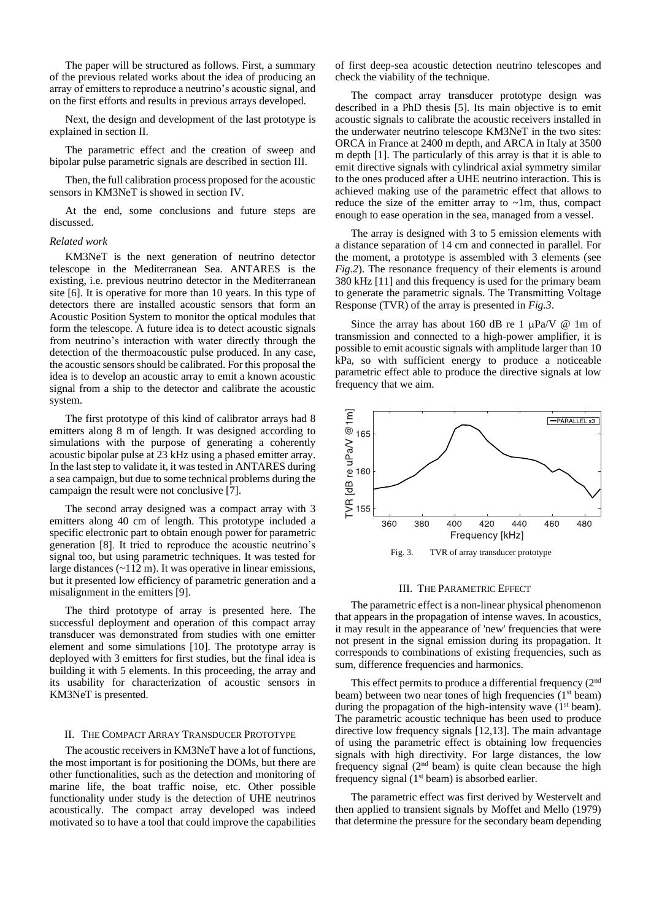The paper will be structured as follows. First, a summary of the previous related works about the idea of producing an array of emitters to reproduce a neutrino's acoustic signal, and on the first efforts and results in previous arrays developed.

Next, the design and development of the last prototype is explained in section II.

The parametric effect and the creation of sweep and bipolar pulse parametric signals are described in section III.

Then, the full calibration process proposed for the acoustic sensors in KM3NeT is showed in section IV.

At the end, some conclusions and future steps are discussed.

#### *Related work*

KM3NeT is the next generation of neutrino detector telescope in the Mediterranean Sea. ANTARES is the existing, i.e. previous neutrino detector in the Mediterranean site [6]. It is operative for more than 10 years. In this type of detectors there are installed acoustic sensors that form an Acoustic Position System to monitor the optical modules that form the telescope. A future idea is to detect acoustic signals from neutrino's interaction with water directly through the detection of the thermoacoustic pulse produced. In any case, the acoustic sensors should be calibrated. For this proposal the idea is to develop an acoustic array to emit a known acoustic signal from a ship to the detector and calibrate the acoustic system.

The first prototype of this kind of calibrator arrays had 8 emitters along 8 m of length. It was designed according to simulations with the purpose of generating a coherently acoustic bipolar pulse at 23 kHz using a phased emitter array. In the last step to validate it, it was tested in ANTARES during a sea campaign, but due to some technical problems during the campaign the result were not conclusive [7].

The second array designed was a compact array with 3 emitters along 40 cm of length. This prototype included a specific electronic part to obtain enough power for parametric generation [8]. It tried to reproduce the acoustic neutrino's signal too, but using parametric techniques. It was tested for large distances (~112 m). It was operative in linear emissions, but it presented low efficiency of parametric generation and a misalignment in the emitters [9].

The third prototype of array is presented here. The successful deployment and operation of this compact array transducer was demonstrated from studies with one emitter element and some simulations [10]. The prototype array is deployed with 3 emitters for first studies, but the final idea is building it with 5 elements. In this proceeding, the array and its usability for characterization of acoustic sensors in KM3NeT is presented.

# II. THE COMPACT ARRAY TRANSDUCER PROTOTYPE

The acoustic receivers in KM3NeT have a lot of functions, the most important is for positioning the DOMs, but there are other functionalities, such as the detection and monitoring of marine life, the boat traffic noise, etc. Other possible functionality under study is the detection of UHE neutrinos acoustically. The compact array developed was indeed motivated so to have a tool that could improve the capabilities

of first deep-sea acoustic detection neutrino telescopes and check the viability of the technique.

The compact array transducer prototype design was described in a PhD thesis [5]. Its main objective is to emit acoustic signals to calibrate the acoustic receivers installed in the underwater neutrino telescope KM3NeT in the two sites: ORCA in France at 2400 m depth, and ARCA in Italy at 3500 m depth [1]. The particularly of this array is that it is able to emit directive signals with cylindrical axial symmetry similar to the ones produced after a UHE neutrino interaction. This is achieved making use of the parametric effect that allows to reduce the size of the emitter array to  $\nu$ -1m, thus, compact enough to ease operation in the sea, managed from a vessel.

The array is designed with 3 to 5 emission elements with a distance separation of 14 cm and connected in parallel. For the moment, a prototype is assembled with 3 elements (see *Fig.2*). The resonance frequency of their elements is around 380 kHz [11] and this frequency is used for the primary beam to generate the parametric signals. The Transmitting Voltage Response (TVR) of the array is presented in *Fig.3*.

Since the array has about 160 dB re 1  $\mu$ Pa/V @ 1m of transmission and connected to a high-power amplifier, it is possible to emit acoustic signals with amplitude larger than 10 kPa, so with sufficient energy to produce a noticeable parametric effect able to produce the directive signals at low frequency that we aim.



#### III. THE PARAMETRIC EFFECT

The parametric effect is a non-linear physical phenomenon that appears in the propagation of intense waves. In acoustics, it may result in the appearance of 'new' frequencies that were not present in the signal emission during its propagation. It corresponds to combinations of existing frequencies, such as sum, difference frequencies and harmonics.

This effect permits to produce a differential frequency  $(2<sup>nd</sup>$ beam) between two near tones of high frequencies  $(1<sup>st</sup>$  beam) during the propagation of the high-intensity wave  $(1<sup>st</sup>$  beam). The parametric acoustic technique has been used to produce directive low frequency signals [12,13]. The main advantage of using the parametric effect is obtaining low frequencies signals with high directivity. For large distances, the low frequency signal  $(2<sup>nd</sup> beam)$  is quite clean because the high frequency signal  $(1<sup>st</sup> beam)$  is absorbed earlier.

The parametric effect was first derived by Westervelt and then applied to transient signals by Moffet and Mello (1979) that determine the pressure for the secondary beam depending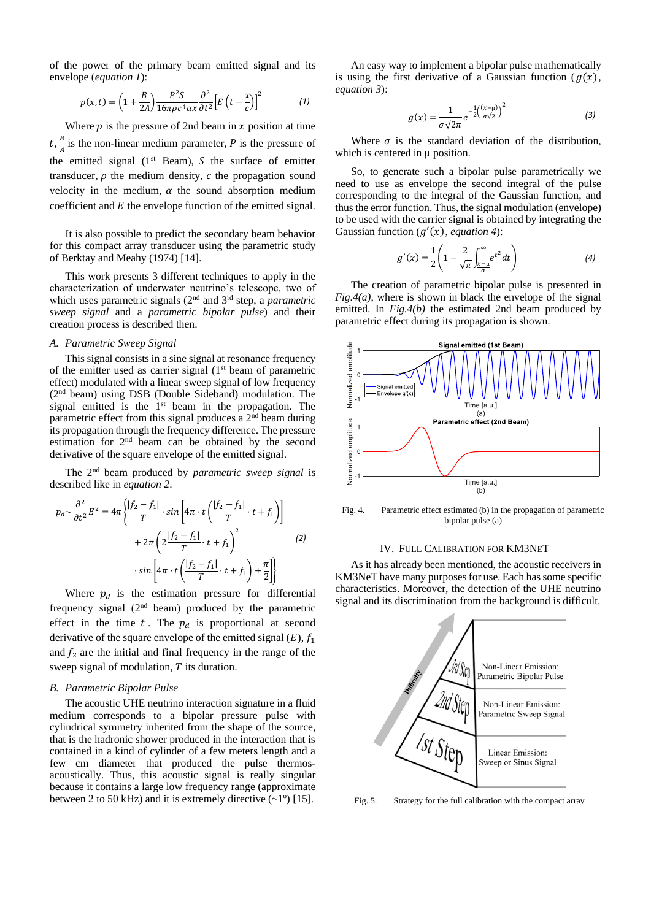of the power of the primary beam emitted signal and its envelope (*equation 1*):

$$
p(x,t) = \left(1 + \frac{B}{2A}\right) \frac{P^2 S}{16\pi \rho c^4 \alpha x} \frac{\partial^2}{\partial t^2} \left[E\left(t - \frac{x}{c}\right)\right]^2 \tag{1}
$$

Where  $p$  is the pressure of 2nd beam in  $x$  position at time  $t, \frac{B}{4}$  $\frac{b}{A}$  is the non-linear medium parameter, P is the pressure of the emitted signal  $(1<sup>st</sup>$  Beam), S the surface of emitter transducer,  $\rho$  the medium density,  $c$  the propagation sound velocity in the medium,  $\alpha$  the sound absorption medium coefficient and  $E$  the envelope function of the emitted signal.

It is also possible to predict the secondary beam behavior for this compact array transducer using the parametric study of Berktay and Meahy (1974) [14].

This work presents 3 different techniques to apply in the characterization of underwater neutrino's telescope, two of which uses parametric signals (2nd and 3rd step, a *parametric sweep signal* and a *parametric bipolar pulse*) and their creation process is described then.

## *A. Parametric Sweep Signal*

This signal consists in a sine signal at resonance frequency of the emitter used as carrier signal  $(1<sup>st</sup>$  beam of parametric effect) modulated with a linear sweep signal of low frequency (2 nd beam) using DSB (Double Sideband) modulation. The signal emitted is the 1<sup>st</sup> beam in the propagation. The parametric effect from this signal produces a 2<sup>nd</sup> beam during its propagation through the frequency difference. The pressure estimation for 2nd beam can be obtained by the second derivative of the square envelope of the emitted signal.

The 2nd beam produced by *parametric sweep signal* is described like in *equation 2*.

$$
p_d \sim \frac{\partial^2}{\partial t^2} E^2 = 4\pi \left\{ \frac{|f_2 - f_1|}{T} \cdot \sin\left[ 4\pi \cdot t \left( \frac{|f_2 - f_1|}{T} \cdot t + f_1 \right) \right] + 2\pi \left( 2 \frac{|f_2 - f_1|}{T} \cdot t + f_1 \right)^2 \right\}
$$

$$
+ \sin\left[ 4\pi \cdot t \left( \frac{|f_2 - f_1|}{T} \cdot t + f_1 \right) + \frac{\pi}{2} \right] \right\}
$$
(2)

Where  $p_d$  is the estimation pressure for differential frequency signal  $(2<sup>nd</sup>$  beam) produced by the parametric effect in the time  $t$ . The  $p_d$  is proportional at second derivative of the square envelope of the emitted signal  $(E)$ ,  $f_1$ and  $f_2$  are the initial and final frequency in the range of the sweep signal of modulation,  $T$  its duration.

# *B. Parametric Bipolar Pulse*

The acoustic UHE neutrino interaction signature in a fluid medium corresponds to a bipolar pressure pulse with cylindrical symmetry inherited from the shape of the source, that is the hadronic shower produced in the interaction that is contained in a kind of cylinder of a few meters length and a few cm diameter that produced the pulse thermosacoustically. Thus, this acoustic signal is really singular because it contains a large low frequency range (approximate between 2 to 50 kHz) and it is extremely directive  $(-1)$  [15].

An easy way to implement a bipolar pulse mathematically is using the first derivative of a Gaussian function  $(g(x))$ , *equation 3*):

$$
g(x) = \frac{1}{\sigma\sqrt{2\pi}}e^{-\frac{1}{2}\left(\frac{(x-\mu)}{\sigma\sqrt{2}}\right)^2}
$$
 (3)

Where  $\sigma$  is the standard deviation of the distribution, which is centered in u position.

So, to generate such a bipolar pulse parametrically we need to use as envelope the second integral of the pulse corresponding to the integral of the Gaussian function, and thus the error function. Thus, the signal modulation (envelope) to be used with the carrier signal is obtained by integrating the Gaussian function  $(g'(x))$ , *equation 4*):

$$
g'(x) = \frac{1}{2} \left( 1 - \frac{2}{\sqrt{\pi}} \int_{\frac{x-\mu}{\sigma}}^{\infty} e^{t^2} dt \right)
$$
 (4)

The creation of parametric bipolar pulse is presented in *Fig.4(a)*, where is shown in black the envelope of the signal emitted. In *Fig.4(b)* the estimated 2nd beam produced by parametric effect during its propagation is shown.



Fig. 4. Parametric effect estimated (b) in the propagation of parametric bipolar pulse (a)

#### IV. FULL CALIBRATION FOR KM3NET

As it has already been mentioned, the acoustic receivers in KM3NeT have many purposes for use. Each has some specific characteristics. Moreover, the detection of the UHE neutrino signal and its discrimination from the background is difficult.



Fig. 5. Strategy for the full calibration with the compact array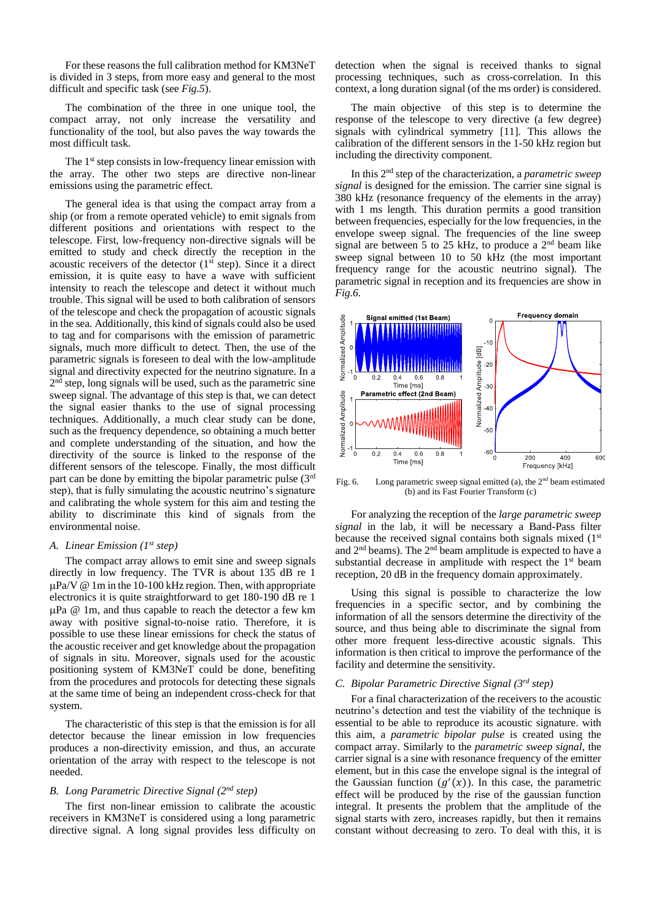For these reasons the full calibration method for KM3NeT is divided in 3 steps, from more easy and general to the most difficult and specific task (see *Fig.5*).

The combination of the three in one unique tool, the compact array, not only increase the versatility and functionality of the tool, but also paves the way towards the most difficult task.

The 1<sup>st</sup> step consists in low-frequency linear emission with the array. The other two steps are directive non-linear emissions using the parametric effect.

The general idea is that using the compact array from a ship (or from a remote operated vehicle) to emit signals from different positions and orientations with respect to the telescope. First, low-frequency non-directive signals will be emitted to study and check directly the reception in the acoustic receivers of the detector  $(1<sup>st</sup> step)$ . Since it a direct emission, it is quite easy to have a wave with sufficient intensity to reach the telescope and detect it without much trouble. This signal will be used to both calibration of sensors of the telescope and check the propagation of acoustic signals in the sea. Additionally, this kind of signals could also be used to tag and for comparisons with the emission of parametric signals, much more difficult to detect. Then, the use of the parametric signals is foreseen to deal with the low-amplitude signal and directivity expected for the neutrino signature. In a 2<sup>nd</sup> step, long signals will be used, such as the parametric sine sweep signal. The advantage of this step is that, we can detect the signal easier thanks to the use of signal processing techniques. Additionally, a much clear study can be done, such as the frequency dependence, so obtaining a much better and complete understanding of the situation, and how the directivity of the source is linked to the response of the different sensors of the telescope. Finally, the most difficult part can be done by emitting the bipolar parametric pulse (3rd step), that is fully simulating the acoustic neutrino's signature and calibrating the whole system for this aim and testing the ability to discriminate this kind of signals from the environmental noise.

## *A. Linear Emission (1st step)*

The compact array allows to emit sine and sweep signals directly in low frequency. The TVR is about 135 dB re 1  $\mu$ Pa/V @ 1m in the 10-100 kHz region. Then, with appropriate electronics it is quite straightforward to get 180-190 dB re 1  $\mu$ Pa @ 1m, and thus capable to reach the detector a few km away with positive signal-to-noise ratio. Therefore, it is possible to use these linear emissions for check the status of the acoustic receiver and get knowledge about the propagation of signals in situ. Moreover, signals used for the acoustic positioning system of KM3NeT could be done, benefiting from the procedures and protocols for detecting these signals at the same time of being an independent cross-check for that system.

The characteristic of this step is that the emission is for all detector because the linear emission in low frequencies produces a non-directivity emission, and thus, an accurate orientation of the array with respect to the telescope is not needed.

# *B. Long Parametric Directive Signal (2nd step)*

The first non-linear emission to calibrate the acoustic receivers in KM3NeT is considered using a long parametric directive signal. A long signal provides less difficulty on detection when the signal is received thanks to signal processing techniques, such as cross-correlation. In this context, a long duration signal (of the ms order) is considered.

The main objective of this step is to determine the response of the telescope to very directive (a few degree) signals with cylindrical symmetry [11]. This allows the calibration of the different sensors in the 1-50 kHz region but including the directivity component.

In this 2nd step of the characterization, a *parametric sweep signal* is designed for the emission. The carrier sine signal is 380 kHz (resonance frequency of the elements in the array) with 1 ms length. This duration permits a good transition between frequencies, especially for the low frequencies, in the envelope sweep signal. The frequencies of the line sweep signal are between 5 to 25 kHz, to produce a  $2<sup>nd</sup>$  beam like sweep signal between 10 to 50 kHz (the most important frequency range for the acoustic neutrino signal). The parametric signal in reception and its frequencies are show in *Fig.6.*



Fig. 6. Long parametric sweep signal emitted (a), the  $2<sup>nd</sup>$  beam estimated (b) and its Fast Fourier Transform (c)

For analyzing the reception of the *large parametric sweep signal* in the lab, it will be necessary a Band-Pass filter because the received signal contains both signals mixed (1<sup>st</sup>) and  $2<sup>nd</sup>$  beams). The  $2<sup>nd</sup>$  beam amplitude is expected to have a substantial decrease in amplitude with respect the  $1<sup>st</sup>$  beam reception, 20 dB in the frequency domain approximately.

Using this signal is possible to characterize the low frequencies in a specific sector, and by combining the information of all the sensors determine the directivity of the source, and thus being able to discriminate the signal from other more frequent less-directive acoustic signals. This information is then critical to improve the performance of the facility and determine the sensitivity.

# *C. Bipolar Parametric Directive Signal (3rd step)*

For a final characterization of the receivers to the acoustic neutrino's detection and test the viability of the technique is essential to be able to reproduce its acoustic signature. with this aim, a *parametric bipolar pulse* is created using the compact array. Similarly to the *parametric sweep signal*, the carrier signal is a sine with resonance frequency of the emitter element, but in this case the envelope signal is the integral of the Gaussian function  $(g'(x))$ . In this case, the parametric effect will be produced by the rise of the gaussian function integral. It presents the problem that the amplitude of the signal starts with zero, increases rapidly, but then it remains constant without decreasing to zero. To deal with this, it is